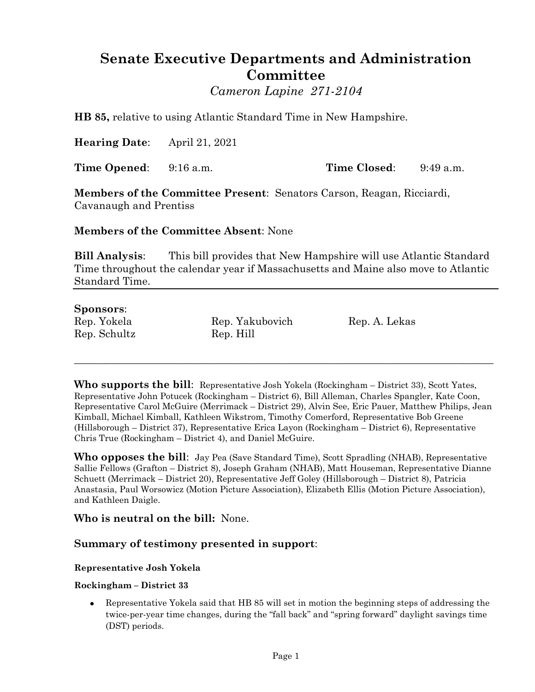# **Senate Executive Departments and Administration Committee**

*Cameron Lapine 271-2104*

**HB 85,** relative to using Atlantic Standard Time in New Hampshire.

**Hearing Date**: April 21, 2021

**Time Opened**: 9:16 a.m. **Time Closed**: 9:49 a.m.

**Members of the Committee Present**: Senators Carson, Reagan, Ricciardi, Cavanaugh and Prentiss

**Members of the Committee Absent**: None

**Bill Analysis**: This bill provides that New Hampshire will use Atlantic Standard Time throughout the calendar year if Massachusetts and Maine also move to Atlantic Standard Time.

# **Sponsors**:

Rep. Schultz Rep. Hill

Rep. Yokela Rep. Yakubovich Rep. A. Lekas

**Who supports the bill**: Representative Josh Yokela (Rockingham – District 33), Scott Yates, Representative John Potucek (Rockingham – District 6), Bill Alleman, Charles Spangler, Kate Coon, Representative Carol McGuire (Merrimack – District 29), Alvin See, Eric Pauer, Matthew Philips, Jean Kimball, Michael Kimball, Kathleen Wikstrom, Timothy Comerford, Representative Bob Greene (Hillsborough – District 37), Representative Erica Layon (Rockingham – District 6), Representative Chris True (Rockingham – District 4), and Daniel McGuire.

\_\_\_\_\_\_\_\_\_\_\_\_\_\_\_\_\_\_\_\_\_\_\_\_\_\_\_\_\_\_\_\_\_\_\_\_\_\_\_\_\_\_\_\_\_\_\_\_\_\_\_\_\_\_\_\_\_\_\_\_\_\_\_\_\_\_\_\_\_\_\_\_\_\_\_\_\_\_\_\_

**Who opposes the bill**: Jay Pea (Save Standard Time), Scott Spradling (NHAB), Representative Sallie Fellows (Grafton – District 8), Joseph Graham (NHAB), Matt Houseman, Representative Dianne Schuett (Merrimack – District 20), Representative Jeff Goley (Hillsborough – District 8), Patricia Anastasia, Paul Worsowicz (Motion Picture Association), Elizabeth Ellis (Motion Picture Association), and Kathleen Daigle.

**Who is neutral on the bill:** None.

# **Summary of testimony presented in support**:

# **Representative Josh Yokela**

#### **Rockingham – District 33**

 Representative Yokela said that HB 85 will set in motion the beginning steps of addressing the twice-per-year time changes, during the "fall back" and "spring forward" daylight savings time (DST) periods.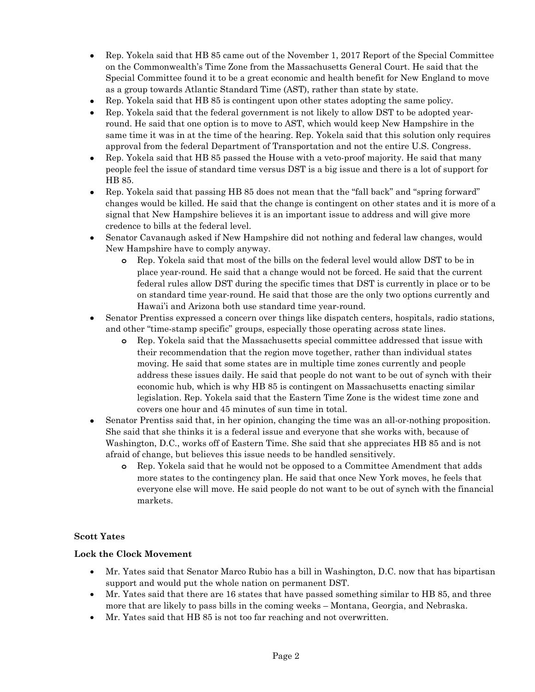- Rep. Yokela said that HB 85 came out of the November 1, 2017 Report of the Special Committee on the Commonwealth's Time Zone from the Massachusetts General Court. He said that the Special Committee found it to be a great economic and health benefit for New England to move as a group towards Atlantic Standard Time (AST), rather than state by state.
- Rep. Yokela said that HB 85 is contingent upon other states adopting the same policy.
- Rep. Yokela said that the federal government is not likely to allow DST to be adopted yearround. He said that one option is to move to AST, which would keep New Hampshire in the same time it was in at the time of the hearing. Rep. Yokela said that this solution only requires approval from the federal Department of Transportation and not the entire U.S. Congress.
- Rep. Yokela said that HB 85 passed the House with a veto-proof majority. He said that many people feel the issue of standard time versus DST is a big issue and there is a lot of support for HB 85.
- Rep. Yokela said that passing HB 85 does not mean that the "fall back" and "spring forward" changes would be killed. He said that the change is contingent on other states and it is more of a signal that New Hampshire believes it is an important issue to address and will give more credence to bills at the federal level.
- Senator Cavanaugh asked if New Hampshire did not nothing and federal law changes, would New Hampshire have to comply anyway.
	- **o** Rep. Yokela said that most of the bills on the federal level would allow DST to be in place year-round. He said that a change would not be forced. He said that the current federal rules allow DST during the specific times that DST is currently in place or to be on standard time year-round. He said that those are the only two options currently and Hawai'i and Arizona both use standard time year-round.
- Senator Prentiss expressed a concern over things like dispatch centers, hospitals, radio stations, and other "time-stamp specific" groups, especially those operating across state lines.
	- **o** Rep. Yokela said that the Massachusetts special committee addressed that issue with their recommendation that the region move together, rather than individual states moving. He said that some states are in multiple time zones currently and people address these issues daily. He said that people do not want to be out of synch with their economic hub, which is why HB 85 is contingent on Massachusetts enacting similar legislation. Rep. Yokela said that the Eastern Time Zone is the widest time zone and covers one hour and 45 minutes of sun time in total.
- Senator Prentiss said that, in her opinion, changing the time was an all-or-nothing proposition. She said that she thinks it is a federal issue and everyone that she works with, because of Washington, D.C., works off of Eastern Time. She said that she appreciates HB 85 and is not afraid of change, but believes this issue needs to be handled sensitively.
	- **o** Rep. Yokela said that he would not be opposed to a Committee Amendment that adds more states to the contingency plan. He said that once New York moves, he feels that everyone else will move. He said people do not want to be out of synch with the financial markets.

#### **Scott Yates**

#### **Lock the Clock Movement**

- Mr. Yates said that Senator Marco Rubio has a bill in Washington, D.C. now that has bipartisan support and would put the whole nation on permanent DST.
- Mr. Yates said that there are 16 states that have passed something similar to HB 85, and three more that are likely to pass bills in the coming weeks – Montana, Georgia, and Nebraska.
- Mr. Yates said that HB 85 is not too far reaching and not overwritten.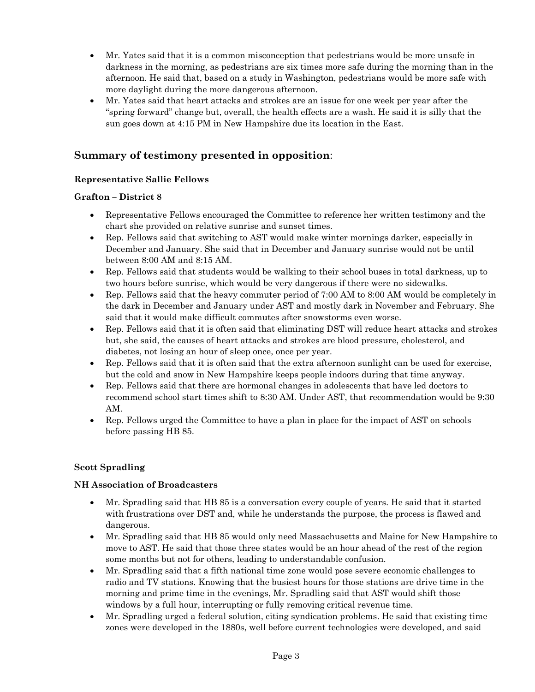- Mr. Yates said that it is a common misconception that pedestrians would be more unsafe in darkness in the morning, as pedestrians are six times more safe during the morning than in the afternoon. He said that, based on a study in Washington, pedestrians would be more safe with more daylight during the more dangerous afternoon.
- Mr. Yates said that heart attacks and strokes are an issue for one week per year after the "spring forward" change but, overall, the health effects are a wash. He said it is silly that the sun goes down at 4:15 PM in New Hampshire due its location in the East.

# **Summary of testimony presented in opposition**:

# **Representative Sallie Fellows**

# **Grafton – District 8**

- Representative Fellows encouraged the Committee to reference her written testimony and the chart she provided on relative sunrise and sunset times.
- Rep. Fellows said that switching to AST would make winter mornings darker, especially in December and January. She said that in December and January sunrise would not be until between 8:00 AM and 8:15 AM.
- Rep. Fellows said that students would be walking to their school buses in total darkness, up to two hours before sunrise, which would be very dangerous if there were no sidewalks.
- Rep. Fellows said that the heavy commuter period of 7:00 AM to 8:00 AM would be completely in the dark in December and January under AST and mostly dark in November and February. She said that it would make difficult commutes after snowstorms even worse.
- Rep. Fellows said that it is often said that eliminating DST will reduce heart attacks and strokes but, she said, the causes of heart attacks and strokes are blood pressure, cholesterol, and diabetes, not losing an hour of sleep once, once per year.
- Rep. Fellows said that it is often said that the extra afternoon sunlight can be used for exercise, but the cold and snow in New Hampshire keeps people indoors during that time anyway.
- Rep. Fellows said that there are hormonal changes in adolescents that have led doctors to recommend school start times shift to 8:30 AM. Under AST, that recommendation would be 9:30 AM.
- Rep. Fellows urged the Committee to have a plan in place for the impact of AST on schools before passing HB 85.

# **Scott Spradling**

# **NH Association of Broadcasters**

- Mr. Spradling said that HB 85 is a conversation every couple of years. He said that it started with frustrations over DST and, while he understands the purpose, the process is flawed and dangerous.
- Mr. Spradling said that HB 85 would only need Massachusetts and Maine for New Hampshire to move to AST. He said that those three states would be an hour ahead of the rest of the region some months but not for others, leading to understandable confusion.
- Mr. Spradling said that a fifth national time zone would pose severe economic challenges to radio and TV stations. Knowing that the busiest hours for those stations are drive time in the morning and prime time in the evenings, Mr. Spradling said that AST would shift those windows by a full hour, interrupting or fully removing critical revenue time.
- Mr. Spradling urged a federal solution, citing syndication problems. He said that existing time zones were developed in the 1880s, well before current technologies were developed, and said